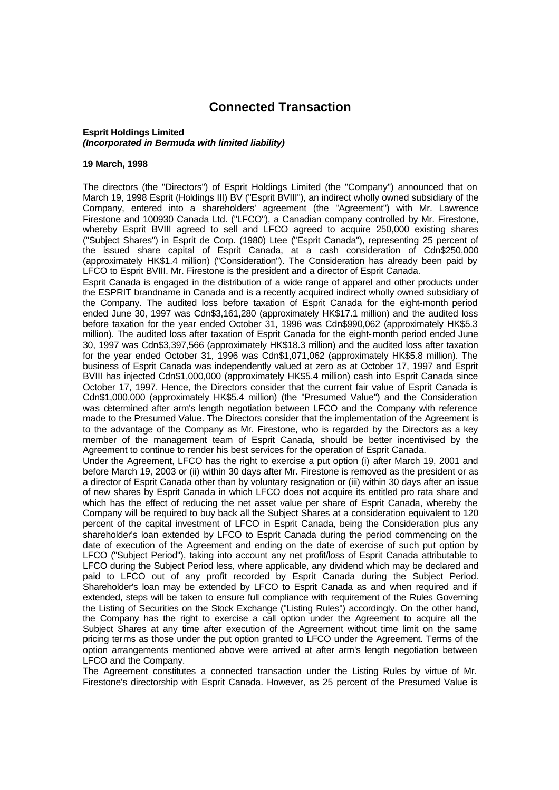## **Connected Transaction**

## **Esprit Holdings Limited**  *(Incorporated in Bermuda with limited liability)*

## **19 March, 1998**

The directors (the "Directors") of Esprit Holdings Limited (the "Company") announced that on March 19, 1998 Esprit (Holdings III) BV ("Esprit BVIII"), an indirect wholly owned subsidiary of the Company, entered into a shareholders' agreement (the "Agreement") with Mr. Lawrence Firestone and 100930 Canada Ltd. ("LFCO"), a Canadian company controlled by Mr. Firestone, whereby Esprit BVIII agreed to sell and LFCO agreed to acquire 250,000 existing shares ("Subject Shares") in Esprit de Corp. (1980) Ltee ("Esprit Canada"), representing 25 percent of the issued share capital of Esprit Canada, at a cash consideration of Cdn\$250,000 (approximately HK\$1.4 million) ("Consideration"). The Consideration has already been paid by LFCO to Esprit BVIII. Mr. Firestone is the president and a director of Esprit Canada.

Esprit Canada is engaged in the distribution of a wide range of apparel and other products under the ESPRIT brandname in Canada and is a recently acquired indirect wholly owned subsidiary of the Company. The audited loss before taxation of Esprit Canada for the eight-month period ended June 30, 1997 was Cdn\$3,161,280 (approximately HK\$17.1 million) and the audited loss before taxation for the year ended October 31, 1996 was Cdn\$990,062 (approximately HK\$5.3 million). The audited loss after taxation of Esprit Canada for the eight-month period ended June 30, 1997 was Cdn\$3,397,566 (approximately HK\$18.3 million) and the audited loss after taxation for the year ended October 31, 1996 was Cdn\$1,071,062 (approximately HK\$5.8 million). The business of Esprit Canada was independently valued at zero as at October 17, 1997 and Esprit BVIII has injected Cdn\$1,000,000 (approximately HK\$5.4 million) cash into Esprit Canada since October 17, 1997. Hence, the Directors consider that the current fair value of Esprit Canada is Cdn\$1,000,000 (approximately HK\$5.4 million) (the "Presumed Value") and the Consideration was determined after arm's length negotiation between LFCO and the Company with reference made to the Presumed Value. The Directors consider that the implementation of the Agreement is to the advantage of the Company as Mr. Firestone, who is regarded by the Directors as a key member of the management team of Esprit Canada, should be better incentivised by the Agreement to continue to render his best services for the operation of Esprit Canada.

Under the Agreement, LFCO has the right to exercise a put option (i) after March 19, 2001 and before March 19, 2003 or (ii) within 30 days after Mr. Firestone is removed as the president or as a director of Esprit Canada other than by voluntary resignation or (iii) within 30 days after an issue of new shares by Esprit Canada in which LFCO does not acquire its entitled pro rata share and which has the effect of reducing the net asset value per share of Esprit Canada, whereby the Company will be required to buy back all the Subject Shares at a consideration equivalent to 120 percent of the capital investment of LFCO in Esprit Canada, being the Consideration plus any shareholder's loan extended by LFCO to Esprit Canada during the period commencing on the date of execution of the Agreement and ending on the date of exercise of such put option by LFCO ("Subject Period"), taking into account any net profit/loss of Esprit Canada attributable to LFCO during the Subject Period less, where applicable, any dividend which may be declared and paid to LFCO out of any profit recorded by Esprit Canada during the Subject Period. Shareholder's loan may be extended by LFCO to Esprit Canada as and when required and if extended, steps will be taken to ensure full compliance with requirement of the Rules Governing the Listing of Securities on the Stock Exchange ("Listing Rules") accordingly. On the other hand, the Company has the right to exercise a call option under the Agreement to acquire all the Subject Shares at any time after execution of the Agreement without time limit on the same pricing terms as those under the put option granted to LFCO under the Agreement. Terms of the option arrangements mentioned above were arrived at after arm's length negotiation between LFCO and the Company.

The Agreement constitutes a connected transaction under the Listing Rules by virtue of Mr. Firestone's directorship with Esprit Canada. However, as 25 percent of the Presumed Value is